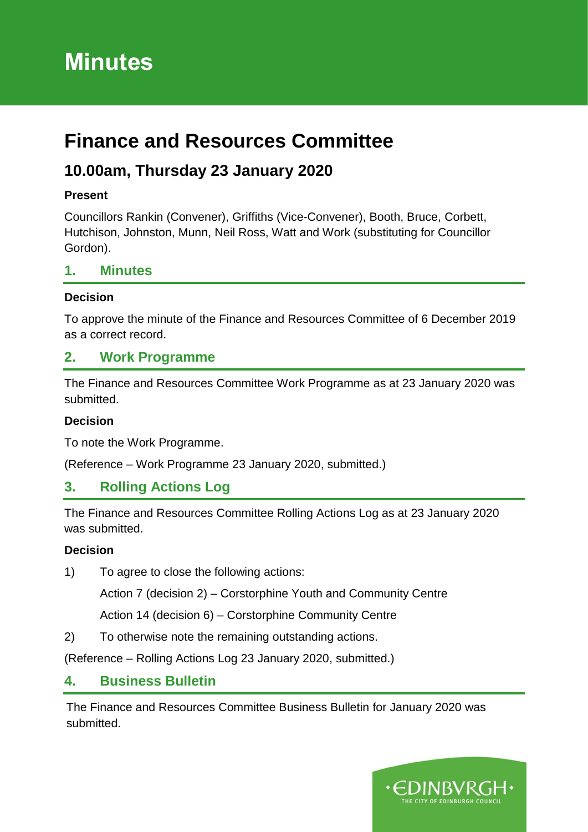# **Minutes**

# **Finance and Resources Committee**

# **10.00am, Thursday 23 January 2020**

## **Present**

Councillors Rankin (Convener), Griffiths (Vice-Convener), Booth, Bruce, Corbett, Hutchison, Johnston, Munn, Neil Ross, Watt and Work (substituting for Councillor Gordon).

# **1. Minutes**

#### **Decision**

To approve the minute of the Finance and Resources Committee of 6 December 2019 as a correct record.

# **2. Work Programme**

The Finance and Resources Committee Work Programme as at 23 January 2020 was submitted.

## **Decision**

To note the Work Programme.

(Reference – Work Programme 23 January 2020, submitted.)

# **3. Rolling Actions Log**

The Finance and Resources Committee Rolling Actions Log as at 23 January 2020 was submitted.

## **Decision**

1) To agree to close the following actions:

Action 7 (decision 2) – Corstorphine Youth and Community Centre

Action 14 (decision 6) – Corstorphine Community Centre

2) To otherwise note the remaining outstanding actions.

(Reference – Rolling Actions Log 23 January 2020, submitted.)

# **4. Business Bulletin**

The Finance and Resources Committee Business Bulletin for January 2020 was submitted.

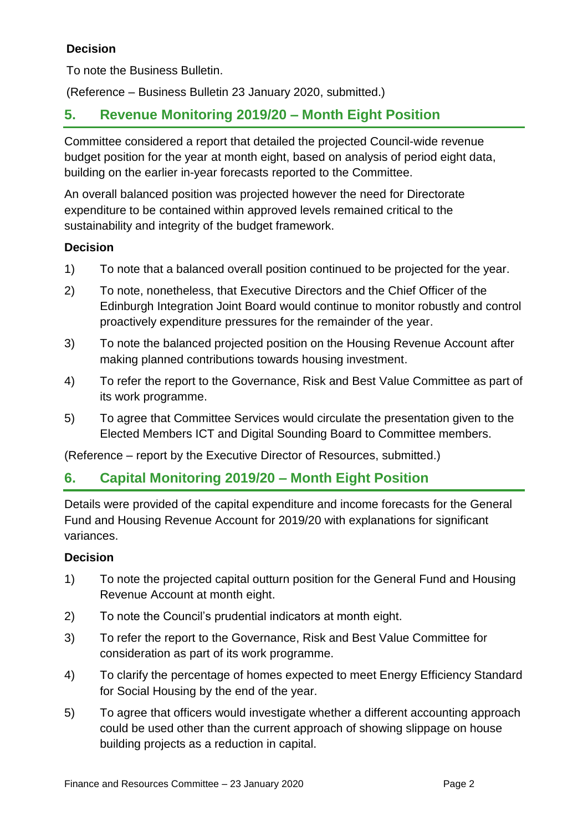## **Decision**

To note the Business Bulletin.

(Reference – Business Bulletin 23 January 2020, submitted.)

# **5. Revenue Monitoring 2019/20 – Month Eight Position**

Committee considered a report that detailed the projected Council-wide revenue budget position for the year at month eight, based on analysis of period eight data, building on the earlier in-year forecasts reported to the Committee.

An overall balanced position was projected however the need for Directorate expenditure to be contained within approved levels remained critical to the sustainability and integrity of the budget framework.

#### **Decision**

- 1) To note that a balanced overall position continued to be projected for the year.
- 2) To note, nonetheless, that Executive Directors and the Chief Officer of the Edinburgh Integration Joint Board would continue to monitor robustly and control proactively expenditure pressures for the remainder of the year.
- 3) To note the balanced projected position on the Housing Revenue Account after making planned contributions towards housing investment.
- 4) To refer the report to the Governance, Risk and Best Value Committee as part of its work programme.
- 5) To agree that Committee Services would circulate the presentation given to the Elected Members ICT and Digital Sounding Board to Committee members.

(Reference – report by the Executive Director of Resources, submitted.)

# **6. Capital Monitoring 2019/20 – Month Eight Position**

Details were provided of the capital expenditure and income forecasts for the General Fund and Housing Revenue Account for 2019/20 with explanations for significant variances.

#### **Decision**

- 1) To note the projected capital outturn position for the General Fund and Housing Revenue Account at month eight.
- 2) To note the Council's prudential indicators at month eight.
- 3) To refer the report to the Governance, Risk and Best Value Committee for consideration as part of its work programme.
- 4) To clarify the percentage of homes expected to meet Energy Efficiency Standard for Social Housing by the end of the year.
- 5) To agree that officers would investigate whether a different accounting approach could be used other than the current approach of showing slippage on house building projects as a reduction in capital.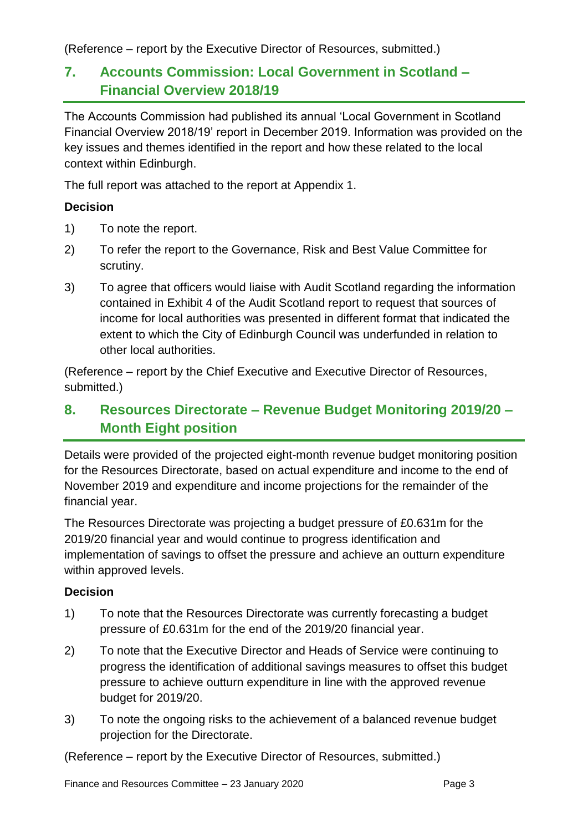(Reference – report by the Executive Director of Resources, submitted.)

# **7. Accounts Commission: Local Government in Scotland – Financial Overview 2018/19**

The Accounts Commission had published its annual 'Local Government in Scotland Financial Overview 2018/19' report in December 2019. Information was provided on the key issues and themes identified in the report and how these related to the local context within Edinburgh.

The full report was attached to the report at Appendix 1.

### **Decision**

- 1) To note the report.
- 2) To refer the report to the Governance, Risk and Best Value Committee for scrutiny.
- 3) To agree that officers would liaise with Audit Scotland regarding the information contained in Exhibit 4 of the Audit Scotland report to request that sources of income for local authorities was presented in different format that indicated the extent to which the City of Edinburgh Council was underfunded in relation to other local authorities.

(Reference – report by the Chief Executive and Executive Director of Resources, submitted.)

# **8. Resources Directorate – Revenue Budget Monitoring 2019/20 – Month Eight position**

Details were provided of the projected eight-month revenue budget monitoring position for the Resources Directorate, based on actual expenditure and income to the end of November 2019 and expenditure and income projections for the remainder of the financial year.

The Resources Directorate was projecting a budget pressure of £0.631m for the 2019/20 financial year and would continue to progress identification and implementation of savings to offset the pressure and achieve an outturn expenditure within approved levels.

## **Decision**

- 1) To note that the Resources Directorate was currently forecasting a budget pressure of £0.631m for the end of the 2019/20 financial year.
- 2) To note that the Executive Director and Heads of Service were continuing to progress the identification of additional savings measures to offset this budget pressure to achieve outturn expenditure in line with the approved revenue budget for 2019/20.
- 3) To note the ongoing risks to the achievement of a balanced revenue budget projection for the Directorate.

(Reference – report by the Executive Director of Resources, submitted.)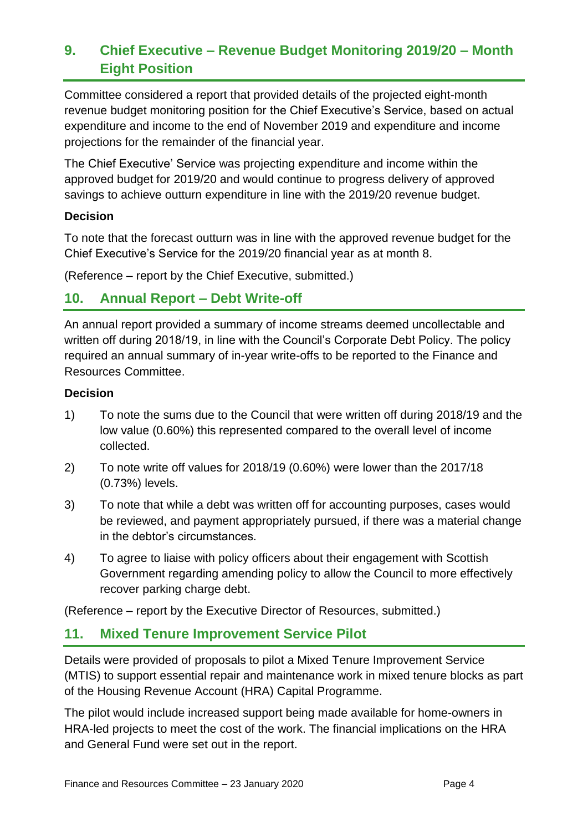# **9. Chief Executive – Revenue Budget Monitoring 2019/20 – Month Eight Position**

Committee considered a report that provided details of the projected eight-month revenue budget monitoring position for the Chief Executive's Service, based on actual expenditure and income to the end of November 2019 and expenditure and income projections for the remainder of the financial year.

The Chief Executive' Service was projecting expenditure and income within the approved budget for 2019/20 and would continue to progress delivery of approved savings to achieve outturn expenditure in line with the 2019/20 revenue budget.

#### **Decision**

To note that the forecast outturn was in line with the approved revenue budget for the Chief Executive's Service for the 2019/20 financial year as at month 8.

(Reference – report by the Chief Executive, submitted.)

# **10. Annual Report – Debt Write-off**

An annual report provided a summary of income streams deemed uncollectable and written off during 2018/19, in line with the Council's Corporate Debt Policy. The policy required an annual summary of in-year write-offs to be reported to the Finance and Resources Committee.

#### **Decision**

- 1) To note the sums due to the Council that were written off during 2018/19 and the low value (0.60%) this represented compared to the overall level of income collected.
- 2) To note write off values for 2018/19 (0.60%) were lower than the 2017/18 (0.73%) levels.
- 3) To note that while a debt was written off for accounting purposes, cases would be reviewed, and payment appropriately pursued, if there was a material change in the debtor's circumstances.
- 4) To agree to liaise with policy officers about their engagement with Scottish Government regarding amending policy to allow the Council to more effectively recover parking charge debt.

(Reference – report by the Executive Director of Resources, submitted.)

# **11. Mixed Tenure Improvement Service Pilot**

Details were provided of proposals to pilot a Mixed Tenure Improvement Service (MTIS) to support essential repair and maintenance work in mixed tenure blocks as part of the Housing Revenue Account (HRA) Capital Programme.

The pilot would include increased support being made available for home-owners in HRA-led projects to meet the cost of the work. The financial implications on the HRA and General Fund were set out in the report.